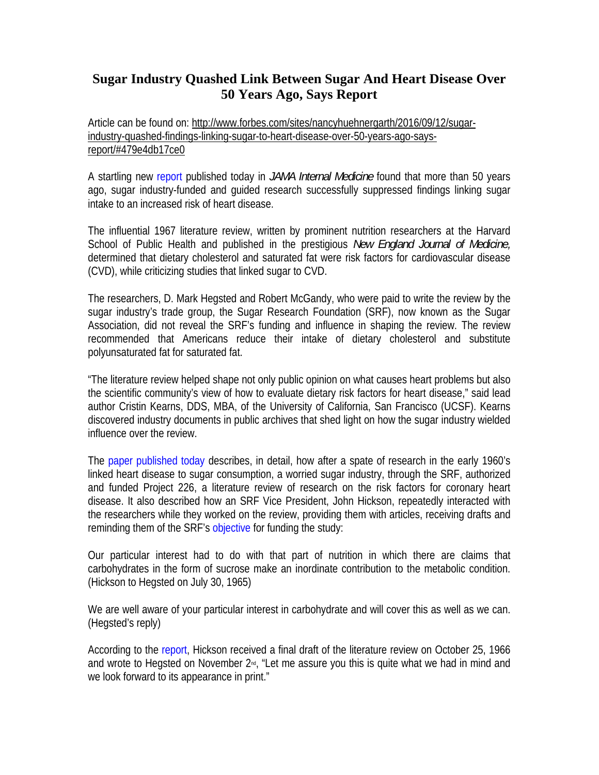## **Sugar Industry Quashed Link Between Sugar And Heart Disease Over 50 Years Ago, Says Report**

Article can be found on: http://www.forbes.com/sites/nancyhuehnergarth/2016/09/12/sugarindustry-quashed-findings-linking-sugar-to-heart-disease-over-50-years-ago-saysreport/#479e4db17ce0

A startling new report published today in *JAMA Internal Medicine* found that more than 50 years ago, sugar industry-funded and guided research successfully suppressed findings linking sugar intake to an increased risk of heart disease.

The influential 1967 literature review, written by prominent nutrition researchers at the Harvard School of Public Health and published in the prestigious *New England Journal of Medicine,* determined that dietary cholesterol and saturated fat were risk factors for cardiovascular disease (CVD), while criticizing studies that linked sugar to CVD.

The researchers, D. Mark Hegsted and Robert McGandy, who were paid to write the review by the sugar industry's trade group, the Sugar Research Foundation (SRF), now known as the Sugar Association, did not reveal the SRF's funding and influence in shaping the review. The review recommended that Americans reduce their intake of dietary cholesterol and substitute polyunsaturated fat for saturated fat.

"The literature review helped shape not only public opinion on what causes heart problems but also the scientific community's view of how to evaluate dietary risk factors for heart disease," said lead author Cristin Kearns, DDS, MBA, of the University of California, San Francisco (UCSF). Kearns discovered industry documents in public archives that shed light on how the sugar industry wielded influence over the review.

The paper published today describes, in detail, how after a spate of research in the early 1960's linked heart disease to sugar consumption, a worried sugar industry, through the SRF, authorized and funded Project 226, a literature review of research on the risk factors for coronary heart disease. It also described how an SRF Vice President, John Hickson, repeatedly interacted with the researchers while they worked on the review, providing them with articles, receiving drafts and reminding them of the SRF's objective for funding the study:

Our particular interest had to do with that part of nutrition in which there are claims that carbohydrates in the form of sucrose make an inordinate contribution to the metabolic condition. (Hickson to Hegsted on July 30, 1965)

We are well aware of your particular interest in carbohydrate and will cover this as well as we can. (Hegsted's reply)

According to the report, Hickson received a final draft of the literature review on October 25, 1966 and wrote to Hegsted on November 2<sup>nd</sup>, "Let me assure you this is quite what we had in mind and we look forward to its appearance in print."